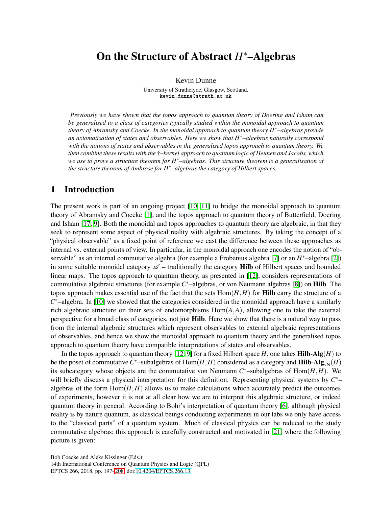# On the Structure of Abstract *H* <sup>∗</sup>–Algebras

Kevin Dunne

University of Strathclyde, Glasgow, Scotland. kevin.dunne@strath.ac.uk

*Previously we have shown that the topos approach to quantum theory of Doering and Isham can be generalised to a class of categories typically studied within the monoidal approach to quantum theory of Abramsky and Coecke. In the monoidal approach to quantum theory H*∗*–algebras provide an axiomatisation of states and observables. Here we show that H*∗*–algebras naturally correspond with the notions of states and observables in the generalised topos approach to quantum theory. We then combine these results with the* †*–kernel approach to quantum logic of Heunen and Jacobs, which we use to prove a structure theorem for H*∗*–algebras. This structure theorem is a generalisation of the structure theorem of Ambrose for H*∗*–algebras the category of Hilbert spaces.*

## 1 Introduction

The present work is part of an ongoing project [\[10,](#page-11-1) [11\]](#page-11-2) to bridge the monoidal approach to quantum theory of Abramsky and Coecke [\[1\]](#page-11-3), and the topos approach to quantum theory of Butterfield, Doering and Isham [\[17,](#page-11-4) [9\]](#page-11-5). Both the monoidal and topos approaches to quantum theory are algebraic, in that they seek to represent some aspect of physical reality with algebraic structures. By taking the concept of a "physical observable" as a fixed point of reference we cast the difference between these approaches as internal vs. external points of view. In particular, in the monoidal approach one encodes the notion of "ob-servable" as an internal commutative algebra (for example a Frobenius algebra [\[7\]](#page-11-6) or an *H*<sup>\*</sup>-algebra [\[2\]](#page-11-7)) in some suitable monoidal category  $\mathscr A$  – traditionally the category **Hilb** of Hilbert spaces and bounded linear maps. The topos approach to quantum theory, as presented in [\[12\]](#page-11-8), considers representations of commutative algebraic structures (for example *C* <sup>∗</sup>–algebras, or von Neumann algebras [\[8\]](#page-11-9)) on Hilb. The topos approach makes essential use of the fact that the sets  $Hom(H,H)$  for **Hilb** carry the structure of a *C*<sup>\*</sup>−algebra. In [\[10\]](#page-11-1) we showed that the categories considered in the monoidal approach have a similarly rich algebraic structure on their sets of endomorphisms Hom(*A*,*A*), allowing one to take the external perspective for a broad class of categories, not just Hilb. Here we show that there is a natural way to pass from the internal algebraic structures which represent observables to external algebraic representations of observables, and hence we show the monoidal approach to quantum theory and the generalised topos approach to quantum theory have compatible interpretations of states and observables.

In the topos approach to quantum theory  $[12, 9]$  $[12, 9]$  for a fixed Hilbert space *H*, one takes **Hilb-Alg** $(H)$  to be the poset of commutative  $C^*$ –subalgebras of  $\text{Hom}(H,H)$  considered as a category and  $\textbf{Hilb-Alg}_{\text{vN}}(H)$ its subcategory whose objects are the commutative von Neumann  $C^*$ -subalgebras of  $Hom(H, H)$ . We will briefly discuss a physical interpretation for this definition. Representing physical systems by  $C^*$ algebras of the form  $Hom(H,H)$  allows us to make calculations which accurately predict the outcomes of experiments, however it is not at all clear how we are to interpret this algebraic structure, or indeed quantum theory in general. According to Bohr's interpretation of quantum theory [\[6\]](#page-11-10), although physical reality is by nature quantum, as classical beings conducting experiments in our labs we only have access to the "classical parts" of a quantum system. Much of classical physics can be reduced to the study commutative algebras; this approach is carefully constructed and motivated in [\[21\]](#page-11-11) where the following picture is given:

Bob Coecke and Aleks Kissinger (Eds.):

14th International Conference on Quantum Physics and Logic (QPL) EPTCS 266, 2018, pp. 197[–208,](#page-11-0) doi[:10.4204/EPTCS.266.13](http://dx.doi.org/10.4204/EPTCS.266.13)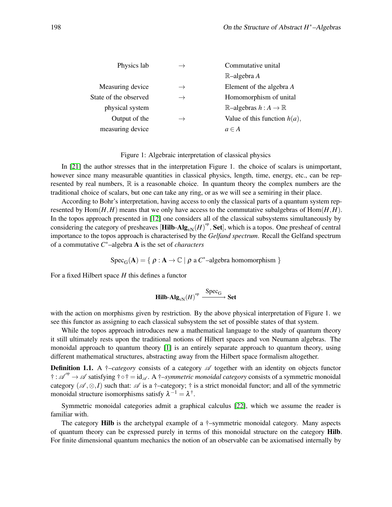| Physics lab           | $\rightarrow$ | Commutative unital                            |
|-----------------------|---------------|-----------------------------------------------|
|                       |               | $\mathbb{R}$ -algebra A                       |
| Measuring device      | $\rightarrow$ | Element of the algebra A                      |
| State of the observed | $\rightarrow$ | Homomorphism of unital                        |
| physical system       |               | $\mathbb{R}$ -algebras $h : A \to \mathbb{R}$ |
| Output of the         |               | Value of this function $h(a)$ ,               |
| measuring device      |               | $a \in A$                                     |

Figure 1: Algebraic interpretation of classical physics

In [\[21\]](#page-11-11) the author stresses that in the interpretation Figure 1. the choice of scalars is unimportant, however since many measurable quantities in classical physics, length, time, energy, etc., can be represented by real numbers,  $\mathbb R$  is a reasonable choice. In quantum theory the complex numbers are the traditional choice of scalars, but one can take any ring, or as we will see a semiring in their place.

According to Bohr's interpretation, having access to only the classical parts of a quantum system represented by  $Hom(H,H)$  means that we only have access to the commutative subalgebras of  $Hom(H,H)$ . In the topos approach presented in [\[12\]](#page-11-8) one considers all of the classical subsystems simultaneously by considering the category of presheaves  $[Hilb-Alg_{vN}(H)]^{op}$ , Set], which is a topos. One presheaf of central importance to the topos approach is characterised by the *Gelfand spectrum*. Recall the Gelfand spectrum of a commutative *C* <sup>∗</sup>–algebra A is the set of *characters*

 $Spec_G(\mathbf{A}) = \{ \rho : \mathbf{A} \to \mathbb{C} \mid \rho \text{ a } C^*$ -algebra homomorphism  $\}$ 

For a fixed Hilbert space *H* this defines a functor

$$
\mathbf{Hilb}\text{-}\mathbf{Alg}_{\text{vN}}(H)^\text{op} \xrightarrow{\text{Spec}_{G}} \mathbf{Set}
$$

with the action on morphisms given by restriction. By the above physical interpretation of Figure 1. we see this functor as assigning to each classical subsystem the set of possible states of that system.

While the topos approach introduces new a mathematical language to the study of quantum theory it still ultimately rests upon the traditional notions of Hilbert spaces and von Neumann algebras. The monoidal approach to quantum theory [\[1\]](#page-11-3) is an entirely separate approach to quantum theory, using different mathematical structures, abstracting away from the Hilbert space formalism altogether.

**Definition 1.1.** A  $\dagger$ *–category* consists of a category  $\mathscr A$  together with an identity on objects functor † :  $\mathscr{A}^{\circ p} \to \mathscr{A}$  satisfying †∘† = id<sub> $\mathscr{A}$ </sub>. A †–*symmetric monoidal category* consists of a symmetric monoidal category ( $\mathscr{A}, \otimes, I$ ) such that:  $\mathscr{A}$  is a †–category; † is a strict monoidal functor; and all of the symmetric monoidal structure isomorphisms satisfy  $\lambda^{-1} = \lambda^{\dagger}$ .

Symmetric monoidal categories admit a graphical calculus [\[22\]](#page-11-12), which we assume the reader is familiar with.

The category **Hilb** is the archetypal example of a  $\dagger$ -symmetric monoidal category. Many aspects of quantum theory can be expressed purely in terms of this monoidal structure on the category Hilb. For finite dimensional quantum mechanics the notion of an observable can be axiomatised internally by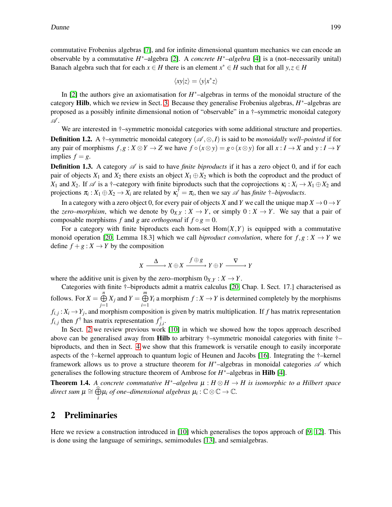commutative Frobenius algebras [\[7\]](#page-11-6), and for infinite dimensional quantum mechanics we can encode an observable by a commutative *H* <sup>∗</sup>–algebra [\[2\]](#page-11-7). A *concrete H*∗*–algebra* [\[4\]](#page-11-13) is a (not–necessarily unital) Banach algebra such that for each  $x \in H$  there is an element  $x^* \in H$  such that for all  $y, z \in H$ 

$$
\langle xy|z\rangle = \langle y|x^*z\rangle
$$

In [\[2\]](#page-11-7) the authors give an axiomatisation for *H* <sup>∗</sup>–algebras in terms of the monoidal structure of the category Hilb, which we review in Sect. [3.](#page-4-0) Because they generalise Frobenius algebras, *H* <sup>∗</sup>–algebras are proposed as a possibly infinite dimensional notion of "observable" in a †–symmetric monoidal category  $\mathscr A$  .

We are interested in  $\dagger$ –symmetric monoidal categories with some additional structure and properties. **Definition 1.2.** A †–symmetric monoidal category ( $\mathcal{A}, \otimes, I$ ) is said to be *monoidally well–pointed* if for any pair of morphisms  $f, g: X \otimes Y \to Z$  we have  $f \circ (x \otimes y) = g \circ (x \otimes y)$  for all  $x: I \to X$  and  $y: I \to Y$ implies  $f = g$ .

**Definition 1.3.** A category  $\mathscr A$  is said to have *finite biproducts* if it has a zero object 0, and if for each pair of objects  $X_1$  and  $X_2$  there exists an object  $X_1 \oplus X_2$  which is both the coproduct and the product of *X*<sub>1</sub> and *X*<sub>2</sub>. If  $\mathscr A$  is a †–category with finite biproducts such that the coprojections  $\kappa_i : X_i \to X_1 \oplus X_2$  and projections  $\pi_i : X_1 \oplus X_2 \to X_i$  are related by  $\kappa_i^{\dagger} = \pi_i$ , then we say  $\mathscr A$  has *finite*  $\dagger$ *–biproducts*.

In a category with a zero object 0, for every pair of objects *X* and *Y* we call the unique map  $X \to 0 \to Y$ the *zero–morphism*, which we denote by  $0_{X,Y}: X \to Y$ , or simply  $0: X \to Y$ . We say that a pair of composable morphisms *f* and *g* are *orthogonal* if  $f \circ g = 0$ .

For a category with finite biproducts each hom-set  $Hom(X, Y)$  is equipped with a commutative monoid operation [\[20,](#page-11-14) Lemma 18.3] which we call *biproduct convolution*, where for  $f, g: X \to Y$  we define  $f + g : X \to Y$  by the composition

$$
X \xrightarrow{\Delta} X \oplus X \xrightarrow{f \oplus g} Y \oplus Y \xrightarrow{\nabla} Y
$$

where the additive unit is given by the zero–morphism  $0_{X,Y}$ :  $X \rightarrow Y$ .

Categories with finite †–biproducts admit a matrix calculus [\[20,](#page-11-14) Chap. I. Sect. 17.] characterised as follows. For  $X = \bigoplus_{n=1}^{\infty} X^n$  $\bigoplus_{j=1}^{n} X_j$  and  $Y = \bigoplus_{i=1}^{m}$  $\bigoplus_{i=1} Y_i$  a morphism  $f: X \to Y$  is determined completely by the morphisms  $f_{i,j}: X_i \to Y_j$ , and morphism composition is given by matrix multiplication. If *f* has matrix representation  $f_{i,j}$  then  $f^{\dagger}$  has matrix representation  $f_{i,j}^{\dagger}$ *j*,*i* .

In Sect. [2](#page-2-0) we review previous work [\[10\]](#page-11-1) in which we showed how the topos approach described above can be generalised away from Hilb to arbitrary †–symmetric monoidal categories with finite †– biproducts, and then in Sect. [4](#page-7-0) we show that this framework is versatile enough to easily incorporate aspects of the †–kernel approach to quantum logic of Heunen and Jacobs [\[16\]](#page-11-15). Integrating the †–kernel framework allows us to prove a structure theorem for  $H^*$ -algebras in monoidal categories  $\mathscr A$  which generalises the following structure theorem of Ambrose for *H*<sup>\*</sup>-algebras in **Hilb** [\[4\]](#page-11-13).

<span id="page-2-1"></span>**Theorem 1.4.** A concrete commutative  $H^*$ –algebra  $\mu : H \otimes H \to H$  is isomorphic to a Hilbert space  $$ 

#### <span id="page-2-0"></span>2 Preliminaries

Here we review a construction introduced in [\[10\]](#page-11-1) which generalises the topos approach of [\[9,](#page-11-5) [12\]](#page-11-8). This is done using the language of semirings, semimodules [\[13\]](#page-11-16), and semialgebras.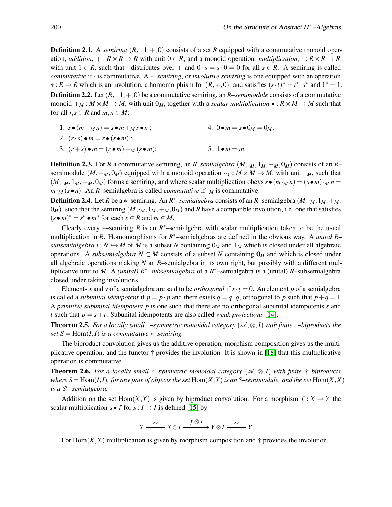**Definition 2.1.** A *semiring*  $(R, \cdot, 1, +, 0)$  consists of a set R equipped with a commutative monoid operation, *addition*,  $+: R \times R \to R$  with unit  $0 \in R$ , and a monoid operation, *multiplication*,  $: R \times R \to R$ , with unit  $1 \in R$ , such that · distributes over + and  $0 \cdot s = s \cdot 0 = 0$  for all  $s \in R$ . A semiring is called *commutative* if · is commutative. A ∗*–semiring*, or *involutive semiring* is one equipped with an operation ∗: *R* → *R* which is an involution, a homomorphism for  $(R, +, 0)$ , and satisfies  $(s \cdot t)^* = t^* \cdot s^*$  and  $1^* = 1$ . **Definition 2.2.** Let  $(R, \cdot, 1, +, 0)$  be a commutative semiring, an *R*–*semimodule* consists of a commutative

monoid  $+_M : M \times M \to M$ , with unit  $0_M$ , together with a *scalar multiplication*  $\bullet : R \times M \to M$  such that for all  $r, s \in R$  and  $m, n \in M$ :

1.  $s \bullet (m +_M n) = s \bullet m +_M s \bullet n$ ; 2.  $(r \cdot s) \bullet m = r \bullet (s \bullet m)$ : 3.  $(r+s) \bullet m = (r \bullet m) +_M (s \bullet m);$ 4.  $0 \cdot m = s \cdot 0_M = 0_M;$ 5.  $1 \bullet m = m$ .

**Definition 2.3.** For *R* a commutative semiring, an *R–semialgebra*  $(M, \cdot_M, 1_M, +_M, 0_M)$  consists of an *R*– semimodule  $(M, +_M, 0_M)$  equipped with a monoid operation  $\cdot_M : M \times M \to M$ , with unit  $1_M$ , such that  $(M, M, M, +M, 0_M)$  forms a semiring, and where scalar multiplication obeys  $s \bullet (m \cdot_M n) = (s \bullet m) \cdot_M n =$  $m \cdot_M (s \cdot n)$ . An *R*–semialgebra is called *commutative* if  $\cdot_M$  is commutative.

**Definition 2.4.** Let *R* be a  $*$ –semiring. An *R*<sup>\*</sup>–semialgebra consists of an *R*–semialgebra  $(M, \cdot_M, 1_M, +_M,$  $0_M$ ), such that the semiring  $(M, M, M, +M, 0_M)$  and *R* have a compatible involution, i.e. one that satisfies  $(s \cdot m)^* = s^* \cdot m^*$  for each  $s \in R$  and  $m \in M$ .

Clearly every  $*$ –semiring *R* is an  $R^*$ –semialgebra with scalar multiplication taken to be the usual multiplication in *R*. Homomorphisms for *R* <sup>∗</sup>–semialgebras are defined in the obvious way. A *unital R– subsemialgebra i* :  $N \hookrightarrow M$  of *M* is a subset *N* containing  $0_M$  and  $1_M$  which is closed under all algebraic operations. A *subsemialgebra*  $N \subset M$  consists of a subset N containing  $0_M$  and which is closed under all algebraic operations making *N* an *R*–semialgebra in its own right, but possibly with a different multiplicative unit to *M*. A *(unital) R*∗*–subsemialgebra* of a *R* <sup>∗</sup>–semialgebra is a (unital) *R*–subsemialgebra closed under taking involutions.

Elements *x* and *y* of a semialgebra are said to be *orthogonal* if  $x \cdot y = 0$ . An element *p* of a semialgebra is called a *subunital idempotent* if  $p = p \cdot p$  and there exists  $q = q \cdot q$ , orthogonal to p such that  $p + q = 1$ . A *primitive subunital idempotent p* is one such that there are no orthogonal subunital idempotents *s* and *t* such that  $p = s + t$ . Subunital idempotents are also called *weak projections* [\[14\]](#page-11-17).

**Theorem 2.5.** For a locally small  $\dagger$ –symmetric monoidal category  $(\mathcal{A}, \otimes, I)$  with finite  $\dagger$ –biproducts the *set*  $S = \text{Hom}(I, I)$  *is a commutative* \*-*semiring.* 

The biproduct convolution gives us the additive operation, morphism composition gives us the multiplicative operation, and the functor † provides the involution. It is shown in [\[18\]](#page-11-18) that this multiplicative operation is commutative.

Theorem 2.6. *For a locally small*  $\dagger$ –symmetric monoidal category  $(\mathcal{A}, \otimes, I)$  with finite  $\dagger$ –biproducts *where*  $S = Hom(I, I)$ *, for any pair of objects the set*  $Hom(X, Y)$  *is an S–semimodule, and the set*  $Hom(X, X)$ *is a S*∗*–semialgebra.*

Addition on the set Hom $(X, Y)$  is given by biproduct convolution. For a morphism  $f : X \to Y$  the scalar multiplication  $s \bullet f$  for  $s: I \to I$  is defined [\[15\]](#page-11-19) by

$$
X \xrightarrow{\sim} X \otimes I \xrightarrow{f \otimes s} Y \otimes I \xrightarrow{\sim} Y
$$

For  $Hom(X, X)$  multiplication is given by morphism composition and  $\dagger$  provides the involution.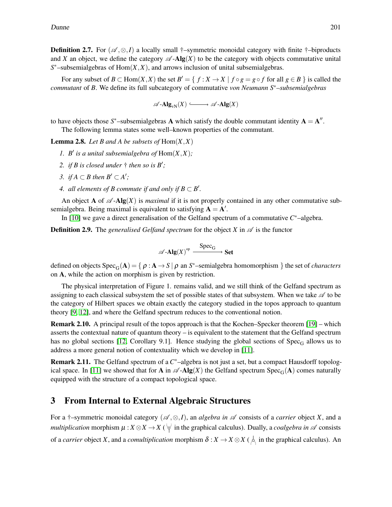**Definition 2.7.** For  $(\mathscr{A}, \otimes, I)$  a locally small †–symmetric monoidal category with finite †–biproducts and *X* an object, we define the category  $\mathscr{A}$ -Alg(*X*) to be the category with objects commutative unital *S* <sup>∗</sup>–subsemialgebras of Hom(*X*,*X*), and arrows inclusion of unital subsemialgebras.

For any subset of  $B \subset Hom(X,X)$  the set  $B' = \{ f : X \to X \mid f \circ g = g \circ f$  for all  $g \in B \}$  is called the *commutant* of *B*. We define its full subcategory of commutative *von Neumann S*∗*–subsemialgebras*

$$
\mathscr{A}\operatorname{-Alg}_{\mathrm{vN}}(X)\xrightarrow{\quad} \mathscr{A}\operatorname{-Alg}(X)
$$

to have objects those  $S^*$ –subsemialgebras **A** which satisfy the double commutant identity  $A = A''$ . The following lemma states some well–known properties of the commutant.

<span id="page-4-1"></span>**Lemma 2.8.** Let B and A be subsets of  $Hom(X, X)$ 

- *1. B'* is a unital subsemialgebra of  $\text{Hom}(X,X)$ ;
- 2. *if B is closed under*  $\dagger$  *then so is B'*;
- *3. if*  $A ⊂ B$  *then*  $B' ⊂ A'$ *;*
- *4. all elements of B commute if and only if*  $B \subset B'$ *.*

An object **A** of  $\mathscr A$ -**Alg**(*X*) is *maximal* if it is not properly contained in any other commutative subsemialgebra. Being maximal is equivalent to satisfying  $A = A'$ .

In [\[10\]](#page-11-1) we gave a direct generalisation of the Gelfand spectrum of a commutative *C* <sup>∗</sup>–algebra.

**Definition 2.9.** The *generalised Gelfand spectrum* for the object *X* in  $\mathscr A$  is the functor

$$
\mathscr{A}\text{-}\mathbf{Alg}(X)^{op} \xrightarrow{\text{Spec}_{G}} \mathbf{Set}
$$

defined on objects  $Spec_G(A) = \{ \rho : A \to S \mid \rho \text{ an } S^*$ -semialgebra homomorphism  $\}$  the set of *characters* on A, while the action on morphism is given by restriction.

The physical interpretation of Figure 1. remains valid, and we still think of the Gelfand spectrum as assigning to each classical subsystem the set of possible states of that subsystem. When we take  $\mathscr A$  to be the category of Hilbert spaces we obtain exactly the category studied in the topos approach to quantum theory [\[9,](#page-11-5) [12\]](#page-11-8), and where the Gelfand spectrum reduces to the conventional notion.

Remark 2.10. A principal result of the topos approach is that the Kochen–Specker theorem [\[19\]](#page-11-20) – which asserts the contextual nature of quantum theory – is equivalent to the statement that the Gelfand spectrum has no global sections [\[12,](#page-11-8) Corollary 9.1]. Hence studying the global sections of  $Spec_G$  allows us to address a more general notion of contextuality which we develop in [\[11\]](#page-11-2).

Remark 2.11. The Gelfand spectrum of a C<sup>\*</sup>-algebra is not just a set, but a compact Hausdorff topolog-ical space. In [\[11\]](#page-11-2) we showed that for **A** in  $\mathscr{A}\text{-}\mathbf{Alg}(X)$  the Gelfand spectrum  $Spec_G(\mathbf{A})$  comes naturally equipped with the structure of a compact topological space.

#### <span id="page-4-0"></span>3 From Internal to External Algebraic Structures

For a †–symmetric monoidal category (A ,⊗,*I*), an *algebra in* A consists of a *carrier* object *X*, and a *multiplication* morphism  $\mu$  :  $X \otimes X \to X$  ( $\forall$  in the graphical calculus). Dually, a *coalgebra in*  $\mathscr A$  consists of a *carrier* object *X*, and a *comultiplication* morphism  $\delta: X \to X \otimes X$  (  $\stackrel{\perp}{\circ}$  in the graphical calculus). An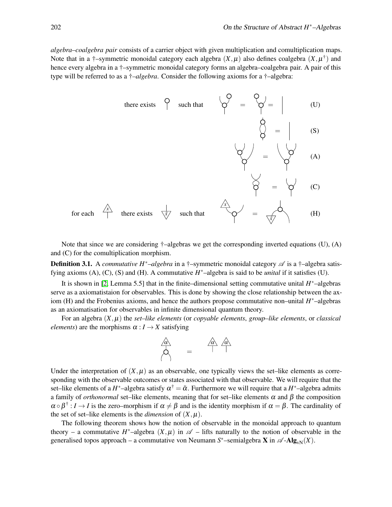*algebra–coalgebra pair* consists of a carrier object with given multiplication and comultiplication maps. Note that in a  $\dagger$ -symmetric monoidal category each algebra  $(X,\mu)$  also defines coalgebra  $(X,\mu^{\dagger})$  and hence every algebra in a †–symmetric monoidal category forms an algebra–coalgebra pair. A pair of this type will be referred to as a †*–algebra*. Consider the following axioms for a †–algebra:



Note that since we are considering  $\dagger$ –algebras we get the corresponding inverted equations (U), (A) and (C) for the comultiplication morphism.

Definition 3.1. A *commutative H<sup>∗</sup>–algebra* in a †–symmetric monoidal category  $\mathscr A$  is a †–algebra satisfying axioms (A), (C), (S) and (H). A commutative  $H^*$ –algebra is said to be *unital* if it satisfies (U).

It is shown in [\[2,](#page-11-7) Lemma 5.5] that in the finite–dimensional setting commutative unital *H* <sup>∗</sup>–algebras serve as a axiomatistaion for observables. This is done by showing the close relationship between the axiom (H) and the Frobenius axioms, and hence the authors propose commutative non–unital *H* <sup>∗</sup>–algebras as an axiomatisation for observables in infinite dimensional quantum theory.

For an algebra  $(X, \mu)$  the *set–like elements* (or *copyable elements*, *group–like elements*, or *classical elements*) are the morphisms  $\alpha : I \rightarrow X$  satisfying



Under the interpretation of  $(X, \mu)$  as an observable, one typically views the set–like elements as corresponding with the observable outcomes or states associated with that observable. We will require that the set–like elements of a *H*<sup>\*</sup>–algebra satisfy  $\alpha^{\dagger} = \tilde{\alpha}$ . Furthermore we will require that a *H*<sup>\*</sup>–algebra admits a family of *orthonormal* set–like elements, meaning that for set–like elements <sup>α</sup> and β the composition  $\alpha \circ \beta^+ : I \to I$  is the zero–morphism if  $\alpha \neq \beta$  and is the identity morphism if  $\alpha = \beta$ . The cardinality of the set of set–like elements is the *dimension* of  $(X, \mu)$ .

The following theorem shows how the notion of observable in the monoidal approach to quantum theory – a commutative  $H^*$ –algebra  $(X,\mu)$  in  $\mathscr A$  – lifts naturally to the notion of observable in the generalised topos approach – a commutative von Neumann  $S^*$ –semialgebra **X** in  $\mathscr{A}$ -Alg<sub>vN</sub>(*X*).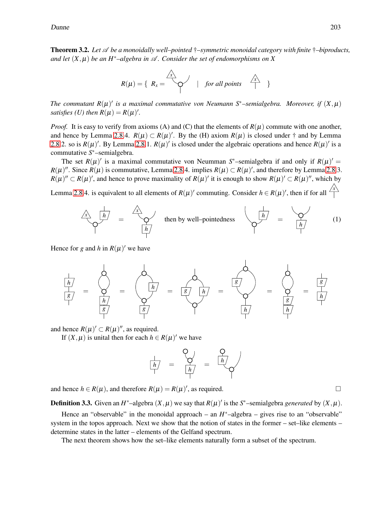Dunne 203

<span id="page-6-0"></span>**Theorem 3.2.** Let  $\mathscr A$  be a monoidally well–pointed  $\dagger$ –symmetric monoidal category with finite  $\dagger$ –biproducts, *and let*  $(X, \mu)$  *be an H<sup>\*</sup>–algebra in*  $\mathcal A$ *. Consider the set of endomorphisms on* X

$$
R(\mu) = \left\{ R_x = \bigotimes_{1 \leq i \leq n} \mu \text{ for all points } \bigotimes_{1 \leq i \leq n} \mu \text{ for all points } \bigotimes_{1 \leq i \leq n} \mu \text{ for all points } \mu \text{ for all points } \mu \text{ for all points } \mu \text{ for all points } \mu \text{ for all points } \mu \text{ for all points } \mu \text{ for all points } \mu \text{ for all points } \mu \text{ for all points } \mu \text{ for all points } \mu \text{ for all points } \mu \text{ for all points } \mu \text{ for all points } \mu \text{ for all points } \mu \text{ for all points } \mu \text{ for all points } \mu \text{ for all points } \mu \text{ for all points } \mu \text{ for all points } \mu \text{ for all points } \mu \text{ for all points } \mu \text{ for all points } \mu \text{ for all points } \mu \text{ for all points } \mu \text{ for all points } \mu \text{ for all points } \mu \text{ for all points } \mu \text{ for all points } \mu \text{ for all points } \mu \text{ for all points } \mu \text{ for all points } \mu \text{ for all points } \mu \text{ for all points } \mu \text{ for all points } \mu \text{ for all points } \mu \text{ for all points } \mu \text{ for all points } \mu \text{ for all points } \mu \text{ for all points } \mu \text{ for all points } \mu \text{ for all points } \mu \text{ for all points } \mu \text{ for all points } \mu \text{ for all points } \mu \text{ for all points } \mu \text{ for all points } \mu \text{ for all points } \mu \text{ for all points } \mu \text{ for all points } \mu \text{ for all points } \mu \text{ for all points } \mu \text{ for all points } \mu \text{ for all points } \mu \text{ for all points } \mu \text{ for all points } \mu \text{ for all points } \mu \text{ for all points } \mu \text{ for all points } \mu \text{ for all points } \mu \text{ for all points } \mu \text{ for all points } \mu \text{ for all points } \mu \text{ for all points } \mu \text{ for all points } \mu \text{ for all points } \mu \text{ for all points } \mu \text{ for all points } \mu \text{ for all points } \mu \text{ for all points } \mu \text{ for all points } \mu \text{ for all points } \mu \text{ for all points } \mu \text{ for all points } \mu \text{ for all points } \mu \text{ for all points } \mu \text{ for all points }
$$

*The commutant*  $R(\mu)'$  *is a maximal commutative von Neumann*  $S^*$ –semialgebra. Moreover, if  $(X, \mu)$ *satisfies* (*U*) then  $R(\mu) = R(\mu)'$ .

*Proof.* It is easy to verify from axioms (A) and (C) that the elements of  $R(\mu)$  commute with one another, and hence by Lemma [2.8.](#page-4-1)4.  $R(\mu) \subset R(\mu)'$ . By the (H) axiom  $R(\mu)$  is closed under  $\dagger$  and by Lemma [2.8.](#page-4-1)2. so is  $R(\mu)'$ . By Lemma [2.8.](#page-4-1)1.  $R(\mu)'$  is closed under the algebraic operations and hence  $R(\mu)'$  is a commutative *S* <sup>∗</sup>–semialgebra.

The set  $R(\mu)'$  is a maximal commutative von Neumman S<sup>\*</sup>–semialgebra if and only if  $R(\mu)' =$  $R(\mu)''$ . Since  $R(\mu)$  is commutative, Lemma [2.8.](#page-4-1)4. implies  $R(\mu) \subset R(\mu)'$ , and therefore by Lemma 2.8.3.  $R(\mu)' \subset R(\mu)'$ , and hence to prove maximality of  $R(\mu)'$  it is enough to show  $R(\mu)' \subset R(\mu)''$ , which by

Lemma [2.8.](#page-4-1)4. is equivalent to all elements of  $R(\mu)'$  commuting. Consider  $h \in R(\mu)'$ , then if for all  $\frac{1}{\sqrt{2}}$ 



Hence for *g* and *h* in  $R(\mu)'$  we have



and hence  $R(\mu)' \subset R(\mu)''$ , as required.

If  $(X, \mu)$  is unital then for each  $h \in R(\mu)'$  we have

$$
\frac{1}{\left| h \right|} = \frac{Q}{\left| h \right|} = \frac{Q}{\left| h \right|}
$$

and hence  $h \in R(\mu)$ , and therefore  $R(\mu) = R(\mu)'$ , as required.

**Definition 3.3.** Given an  $H^*$ –algebra  $(X, \mu)$  we say that  $R(\mu)'$  is the  $S^*$ –semialgebra *generated* by  $(X, \mu)$ .

Hence an "observable" in the monoidal approach – an  $H^*$ –algebra – gives rise to an "observable" system in the topos approach. Next we show that the notion of states in the former – set–like elements – determine states in the latter – elements of the Gelfand spectrum.

The next theorem shows how the set–like elements naturally form a subset of the spectrum.

<span id="page-6-1"></span>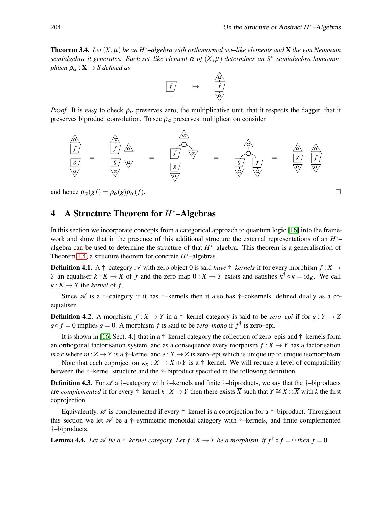Theorem 3.4. *Let* (*X*,µ) *be an H*∗*–algebra with orthonormal set–like elements and* X *the von Neumann semialgebra it generates. Each set–like element* <sup>α</sup> *of* (*X*,µ) *determines an S*∗*–semialgebra homomorphism*  $\rho_{\alpha} : \mathbf{X} \to S$  *defined as* 



*Proof.* It is easy to check  $\rho_{\alpha}$  preserves zero, the multiplicative unit, that it respects the dagger, that it preserves biproduct convolution. To see  $\rho_{\alpha}$  preserves multiplication consider



and hence  $\rho_{\alpha}(gf) = \rho_{\alpha}(g)\rho_{\alpha}(f)$ .

# <span id="page-7-0"></span>4 A Structure Theorem for *H* <sup>∗</sup>–Algebras

In this section we incorporate concepts from a categorical approach to quantum logic [\[16\]](#page-11-15) into the framework and show that in the presence of this additional structure the external representations of an *H*<sup>\*</sup>− algebra can be used to determine the structure of that  $H^*$ –algebra. This theorem is a generalisation of Theorem [1.4,](#page-2-1) a structure theorem for concrete  $H^*$ -algebras.

**Definition 4.1.** A  $\dagger$ –category  $\mathscr A$  with zero object 0 is said *have*  $\dagger$ –*kernels* if for every morphism  $f : X \to Y$ *Y* an equaliser  $k: K \to X$  of *f* and the zero map  $0: X \to Y$  exists and satisfies  $k^{\dagger} \circ k = id_K$ . We call  $k: K \to X$  the *kernel* of *f*.

Since  $\mathscr A$  is a †–category if it has †–kernels then it also has †–cokernels, defined dually as a coequaliser.

**Definition 4.2.** A morphism  $f: X \to Y$  in a †–kernel category is said to be *zero–epi* if for  $g: Y \to Z$  $g \circ f = 0$  implies  $g = 0$ . A morphism *f* is said to be *zero–mono* if  $f^{\dagger}$  is zero–epi.

It is shown in [\[16,](#page-11-15) Sect. 4.] that in a †–kernel category the collection of zero–epis and †–kernels form an orthogonal factorisation system, and as a consequence every morphism  $f: X \rightarrow Y$  has a factorisation  $m \circ e$  where  $m: Z \to Y$  is a †–kernel and  $e: X \to Z$  is zero–epi which is unique up to unique isomorphism.

Note that each coprojection  $\kappa_X : X \to X \oplus Y$  is a †–kernel. We will require a level of compatibility between the †–kernel structure and the †–biproduct specified in the following definition.

**Definition 4.3.** For  $\mathscr A$  a †–category with †–kernels and finite †–biproducts, we say that the †–biproducts are *complemented* if for every †–kernel  $k: X \to Y$  then there exists  $\overline{X}$  such that  $Y \cong X \oplus \overline{X}$  with k the first coprojection.

Equivalently,  $\mathscr A$  is complemented if every †–kernel is a coprojection for a †–biproduct. Throughout this section we let  $\mathscr A$  be a †–symmetric monoidal category with †–kernels, and finite complemented †–biproducts.

<span id="page-7-1"></span>**Lemma 4.4.** *Let*  $\mathscr A$  *be a*  $\dagger$ *–kernel category. Let*  $f : X \to Y$  *be a morphism, if*  $f^{\dagger} \circ f = 0$  *then*  $f = 0$ *.*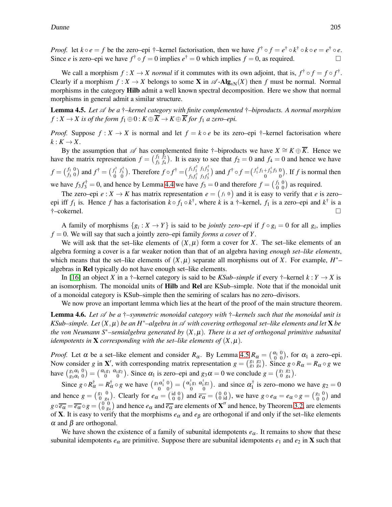*Proof.* let  $k \circ e = f$  be the zero–epi †–kernel factorisation, then we have  $f^{\dagger} \circ f = e^{\dagger} \circ k^{\dagger} \circ k \circ e = e^{\dagger} \circ e$ . Since *e* is zero–epi we have  $f^{\dagger} \circ f = 0$  implies  $e^{\dagger} = 0$  which implies  $f = 0$ , as required.

We call a morphism  $f: X \to X$  *normal* if it commutes with its own adjoint, that is,  $f^{\dagger} \circ f = f \circ f^{\dagger}$ . Clearly if a morphism  $f : X \to X$  belongs to some **X** in  $\mathscr{A}$ -Alg<sub>vN</sub>(*X*) then *f* must be normal. Normal morphisms in the category **Hilb** admit a well known spectral decomposition. Here we show that normal morphisms in general admit a similar structure.

<span id="page-8-0"></span>Lemma 4.5. *Let* A *be a* †*–kernel category with finite complemented* †*–biproducts. A normal morphism*  $f: X \to X$  is of the form  $f_1 \oplus 0: K \oplus \overline{K} \to K \oplus \overline{K}$  for  $f_1$  *a zero–epi.* 

*Proof.* Suppose  $f: X \to X$  is normal and let  $f = k \circ e$  be its zero–epi †–kernel factorisation where  $k: K \rightarrow X$ .

By the assumption that  $\mathscr A$  has complemented finite †–biproducts we have  $X \cong K \oplus \overline{K}$ . Hence we have the matrix representation  $f = \begin{pmatrix} f_1 & f_2 \\ f_2 & f_3 \end{pmatrix}$ *f*<sup>3</sup> *f*<sup>4</sup> ). It is easy to see that  $f_2 = 0$  and  $f_4 = 0$  and hence we have  $f = \begin{pmatrix} f_1 & 0 \\ f_2 & 0 \end{pmatrix}$ *f*<sup>3</sup> 0 ) and  $f^{\dagger} = \begin{pmatrix} f_1^{\dagger} & f_3^{\dagger} \\ 0 & 0 \end{pmatrix}$ ). Therefore  $f \circ f^{\dagger} = \left(\frac{f_1 f_1^{\dagger}}{f_3 f_1^{\dagger}} \frac{f_1 f_3^{\dagger}}{f_3 f_3^{\dagger}}\right)$ and  $f^{\dagger} \circ f = (f_1^{\dagger} f_1 + f_3^{\dagger} f_3)$ 0 0 . If *f* is normal then we have  $f_3 f_3^{\dagger} = 0$ , and hence by Lemma [4.4](#page-7-1) we have  $f_3 = 0$  and therefore  $f = \begin{pmatrix} f_1 & 0 \\ 0 & 0 \end{pmatrix}$ ) as required.

The zero–epi  $e: X \to K$  has matrix representation  $e = (f_1 \ 0)$  and it is easy to verify that *e* is zero– epi iff  $f_1$  is. Hence  $f$  has a factorisation  $k \circ f_1 \circ k^{\dagger}$ , where  $k$  is a  $\dagger$ -kernel,  $f_1$  is a zero–epi and  $k^{\dagger}$  is a †–cokernel.

A family of morphisms  $\{g_i : X \to Y\}$  is said to be *jointly zero–epi* if  $f \circ g_i = 0$  for all  $g_i$ , implies  $f = 0$ . We will say that such a jointly zero–epi family *forms a cover* of *Y*.

We will ask that the set–like elements of  $(X, \mu)$  form a cover for X. The set–like elements of an algebra forming a cover is a far weaker notion than that of an algebra having *enough set–like elements*, which means that the set–like elements of  $(X, \mu)$  separate all morphisms out of *X*. For example,  $H^*$ – algebras in Rel typically do not have enough set–like elements.

In [\[16\]](#page-11-15) an object *X* in a †–kernel category is said to be *KSub–simple* if every †–kernel  $k: Y \to X$  is an isomorphism. The monoidal units of Hilb and Rel are KSub–simple. Note that if the monoidal unit of a monoidal category is KSub–simple then the semiring of scalars has no zero–divisors.

We now prove an important lemma which lies at the heart of the proof of the main structure theorem.

<span id="page-8-1"></span>Lemma 4.6. *Let* A *be a* †*–symmetric monoidal category with* †*–kernels such that the monoidal unit is KSub–simple. Let*  $(X, \mu)$  *be an H<sup>\*</sup>–algebra in*  $\mathscr A$  *with covering orthogonal set–like elements and let*  $X$  *be the von Neumann S*∗*–semialgebra generated by* (*X*,µ)*. There is a set of orthogonal primitive subunital idempotents in* **X** *corresponding with the set–like elements of*  $(X, \mu)$ *.* 

*Proof.* Let  $\alpha$  be a set–like element and consider  $R_{\alpha}$ . By Lemma [4.5](#page-8-0)  $R_{\alpha} = \begin{pmatrix} \alpha_1 & 0 \\ 0 & 0 \end{pmatrix}$ , for  $\alpha_1$  a zero–epi. Now consider *g* in **X**', with corresponding matrix representation  $g = \begin{pmatrix} g_1 & g_2 \\ g_3 & g_4 \end{pmatrix}$ . Since  $g \circ R_\alpha = R_\alpha \circ g$  we have  $\begin{pmatrix} g_1 \alpha_1 & 0 \\ g_3 \alpha_1 & 0 \end{pmatrix}$  $=$   $\begin{pmatrix} \alpha_1 g_1 & \alpha_1 g_2 \\ 0 & 0 \end{pmatrix}$ . Since  $\alpha_1$  is zero–epi and  $g_3 \alpha = 0$  we conclude  $g = \begin{pmatrix} g_1 & g_2 \\ 0 & g_4 \end{pmatrix}$ .

Since  $g \circ R^{\dagger}_{\alpha} = R^{\dagger}_{\alpha} \circ g$  we have  $\left(\begin{smallmatrix} g_1 \alpha_1^{\dagger} & 0 \\ 0 & 0 \end{smallmatrix}\right)$ 0 0  $=\begin{pmatrix} \alpha_1^{\dagger} g_1 & \alpha_1^{\dagger} g_2 \\ 0 & 0 \end{pmatrix}$ 0 0 ). and since  $\alpha_1^{\dagger}$  $i_1^{\dagger}$  is zero–mono we have  $g_2 = 0$ and hence  $g = \begin{pmatrix} g_1 & 0 \\ 0 & g_2 \end{pmatrix}$ 0 *g*<sup>4</sup> ). Clearly for  $e_{\alpha} = \begin{pmatrix} \text{id} & 0 \\ 0 & 0 \end{pmatrix}$ 0 0 ) and  $\overline{e_{\alpha}} = \begin{pmatrix} 0 & 0 \\ 0 & id \end{pmatrix}$ , we have  $g \circ e_{\alpha} = e_{\alpha} \circ g = \begin{pmatrix} g_1 & 0 \\ 0 & 0 \end{pmatrix}$ ) and  $g \circ \overline{e_{\alpha}} = \overline{e_{\alpha}} \circ g = \left(\begin{smallmatrix} 0 & 0 \\ 0 & g_4 \end{smallmatrix}\right)$  and hence  $e_{\alpha}$  and  $\overline{e_{\alpha}}$  are elements of **X''** and hence, by Theorem [3.2,](#page-6-0) are elements of **X**. It is easy to verify that the morphisms  $e_\alpha$  and  $e_\beta$  are orthogonal if and only if the set–like elements  $\alpha$  and  $\beta$  are orthogonal.

We have shown the existence of a family of subunital idempotents  $e_{\alpha}$ . It remains to show that these subunital idempotents  $e_{\alpha}$  are primitive. Suppose there are subunital idempotents  $e_1$  and  $e_2$  in **X** such that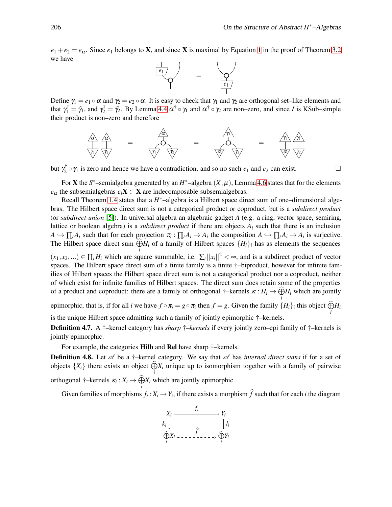$e_1 + e_2 = e_\alpha$ . Since  $e_1$  belongs to **X**, and since **X** is maximal by Equation [1](#page-6-1) in the proof of Theorem [3.2](#page-6-0) we have



Define  $\gamma_1 = e_1 \circ \alpha$  and  $\gamma_2 = e_2 \circ \alpha$ . It is easy to check that  $\gamma_1$  and  $\gamma_2$  are orthogonal set–like elements and that  $\gamma_1^{\dagger} = \tilde{\gamma}_1$ , and  $\gamma_2^{\dagger} = \tilde{\gamma}_2$ . By Lemma [4.4](#page-7-1)  $\alpha^{\dagger} \circ \gamma_1$  and  $\alpha^{\dagger} \circ \gamma_2$  are non–zero, and since *I* is KSub–simple their product is non–zero and therefore



but  $\gamma_2^{\dagger}$  $\chi_2^{\dagger} \circ \gamma_1$  is zero and hence we have a contradiction, and so no such  $e_1$  and  $e_2$  can exist.

For **X** the  $S^*$ -semialgebra generated by an  $H^*$ -algebra  $(X, \mu)$ , Lemma [4.6](#page-8-1) states that for the elements  $e_{\alpha}$  the subsemialgebras  $e_i$ **X** ⊂ **X** are indecomposable subsemialgebras.

Recall Theorem [1.4](#page-2-1) states that a  $H^*$ –algebra is a Hilbert space direct sum of one–dimensional algebras. The Hilbert space direct sum is not a categorical product or coproduct, but is a *subdirect product* (or *subdirect union* [\[5\]](#page-11-21)). In universal algebra an algebraic gadget *A* (e.g. a ring, vector space, semiring, lattice or boolean algebra) is a *subdirect product* if there are objects  $A_i$  such that there is an inclusion  $A \hookrightarrow \prod_i A_i$  such that for each projection  $\pi_i: \prod_i A_i \to A_i$  the composition  $A \hookrightarrow \prod_i A_i \to A_i$  is surjective. The Hilbert space direct sum  $\widehat{\bigoplus}H_i$  of a family of Hilbert spaces  $\{H_i\}_i$  has as elements the sequences *i*

 $(x_1, x_2,...) \in \prod_i H_i$  which are square summable, i.e.  $\sum_i ||x_i||^2 < \infty$ , and is a subdirect product of vector spaces. The Hilbert space direct sum of a finite family is a finite  $\dagger$ -biproduct, however for infinite families of Hilbert spaces the Hilbert space direct sum is not a categorical product nor a coproduct, neither of which exist for infinite families of Hilbert spaces. The direct sum does retain some of the properties of a product and coproduct: there are a family of orthogonal  $\dagger$ -kernels  $\kappa : H_i \to \widehat{\bigoplus} H_i$  which are jointly *i*

epimorphic, that is, if for all *i* we have  $f \circ \pi_i = g \circ \pi_i$  then  $f = g$ . Given the family  $\{H_i\}_i$  this object  $\bigoplus_i H_i$ is the unique Hilbert space admitting such a family of jointly epimorphic †–kernels.

Definition 4.7. A †–kernel category has *sharp* †*–kernels* if every jointly zero–epi family of †–kernels is jointly epimorphic.

For example, the categories **Hilb** and **Rel** have sharp  $\dagger$ -kernels.

**Definition 4.8.** Let  $\mathscr A$  be a †–kernel category. We say that  $\mathscr A$  has *internal direct sums* if for a set of objects  $\{X_i\}$  there exists an object  $\widehat{\bigoplus} X_i$  unique up to isomorphism together with a family of pairwise *i* orthogonal  $\dagger$ -kernels  $\kappa_i : X_i \to \widehat{\bigoplus_i} X_i$  which are jointly epimorphic.

Given families of morphisms  $f_i: X_i \to Y_i$ , if there exists a morphism f such that for each *i* the diagram

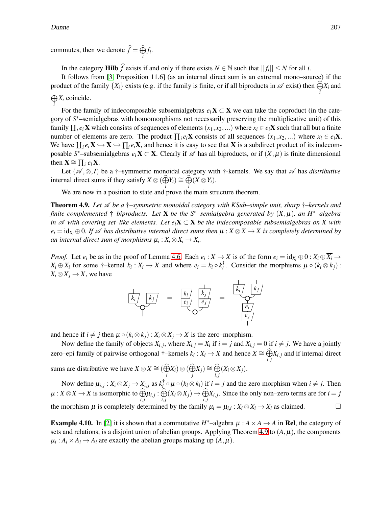commutes, then we denote  $\widehat{f} = \widehat{\bigoplus} f_i$ . *i*

In the category **Hilb**  $\widehat{f}$  exists if and only if there exists  $N \in \mathbb{N}$  such that  $||f_i|| \leq N$  for all *i*.

It follows from [\[3,](#page-11-22) Proposition 11.6] (as an internal direct sum is an extremal mono–source) if the product of the family  $\{X_i\}$  exists (e.g. if the family is finite, or if all biproducts in  $\mathscr A$  exist) then  $\widehat{\bigoplus}X_i$  and *i*  $\bigoplus X_i$  coincide.

*i* For the family of indecomposable subsemialgebras  $e_i$ **X**  $\subset$ **X** we can take the coproduct (in the category of  $S^*$ –semialgebras with homomorphisms not necessarily preserving the multiplicative unit) of this family  $\prod_i e_i$ **X** which consists of sequences of elements  $(x_1, x_2,...)$  where  $x_i \in e_i$ **X** such that all but a finite number of elements are zero. The product  $\prod_i e_i \mathbf{X}$  consists of all sequences  $(x_1, x_2,...)$  where  $x_i \in e_i \mathbf{X}$ . We have  $\prod_i e_i \mathbf{X} \hookrightarrow \mathbf{X} \hookrightarrow \prod_i e_i \mathbf{X}$ , and hence it is easy to see that **X** is a subdirect product of its indecomposable  $S^*$ –subsemialgebras  $e_i$ **X**  $\subset$  **X**. Clearly if  $\mathscr A$  has all biproducts, or if  $(X, \mu)$  is finite dimensional then  $\mathbf{X} \cong \prod_i e_i \mathbf{X}$ .

Let ( $\mathscr{A}, \otimes, I$ ) be a †–symmetric monoidal category with †-kernels. We say that  $\mathscr{A}$  has *distributive* internal direct sums if they satisfy  $X \otimes (\widehat{\bigoplus} Y_i) \cong \widehat{\bigoplus} (X \otimes Y_i)$ .

We are now in a position to state and prove the main structure theorem.

<span id="page-10-0"></span>Theorem 4.9. *Let* A *be a* †*–symmetric monoidal category with KSub–simple unit, sharp* †*–kernels and finite complemented* †*–biproducts. Let* X *be the S*∗*–semialgebra generated by* (*X*,µ)*, an H*∗*–algebra in*  $\mathscr A$  *with covering set–like elements. Let*  $e_i$ **X**  $\subset$  **X** *be the indecomposable subsemialgebras on X with*  $e_i = id_{X_i} \oplus 0$ . If  $\mathscr A$  *has distributive internal direct sums then*  $\mu : X \otimes X \to X$  *is completely determined by an internal direct sum of morphisms*  $\mu_i : X_i \otimes X_i \rightarrow X_i$ .

*Proof.* Let  $e_i$  be as in the proof of Lemma [4.6.](#page-8-1) Each  $e_i: X \to X$  is of the form  $e_i = id_{X_i} \oplus 0: X_i \oplus \overline{X_i} \to X$  $X_i \oplus \overline{X_i}$  for some †–kernel  $k_i : X_i \to X$  and where  $e_i = k_i \circ k_i^{\dagger}$ *i*. Consider the morphisms  $\mu \circ (k_i \otimes k_j)$ :  $X_i \otimes X_j \to X$ , we have

$$
\frac{\begin{array}{c}\n\downarrow \\
k_i\n\end{array}}{\begin{array}{c}\n\downarrow \\
\downarrow\n\end{array}} = \frac{\begin{array}{c}\n\downarrow \\
k_i\n\end{array}}{\begin{array}{c}\n\downarrow \\
e_i\n\end{array}} = \frac{\begin{array}{c}\n\downarrow \\
k_i\n\end{array}}{\begin{array}{c}\n\downarrow \\
e_i\n\end{array}}
$$

and hence if  $i \neq j$  then  $\mu \circ (k_i \otimes k_j) : X_i \otimes X_j \to X$  is the zero–morphism.

Now define the family of objects  $X_{i,j}$ , where  $X_{i,j} = X_i$  if  $i = j$  and  $X_{i,j} = 0$  if  $i \neq j$ . We have a jointly zero–epi family of pairwise orthogonal †–kernels  $k_i: X_i \to X$  and hence  $X \cong \bigoplus_{i,j}^{\infty} X_{i,j}$  and if internal direct sums are distributive we have  $X \otimes X \cong (\bigoplus_i X_i) \otimes (\bigoplus_j X_j) \cong \bigoplus_{i,j} (X_i \otimes X_j)$ .

Now define  $\mu_{i,j}: X_i \otimes X_j \to X_{i,j}$  as  $k_i^{\dagger}$  $\int_{i}^{T} \circ \mu \circ (k_i \otimes k_i)$  if  $i = j$  and the zero morphism when  $i \neq j$ . Then  $\mu: X \otimes X \to X$  is isomorphic to  $\widehat{\bigoplus}_{i,j} \mu_{i,j} : \widehat{\bigoplus}_{i,j} (X_i \otimes X_j) \to \widehat{\bigoplus}_{i,j} X_{i,j}$ . Since the only non-zero terms are for  $i = j$ the morphism  $\mu$  is completely determined by the family  $\mu_i = \mu_{i,i} : X_i \otimes X_i \to X_i$  as claimed.

**Example 4.10.** In [\[2\]](#page-11-7) it is shown that a commutative  $H^*$ -algebra  $\mu : A \times A \rightarrow A$  in Rel, the category of sets and relations, is a disjoint union of abelian groups. Applying Theorem [4.9](#page-10-0) to  $(A, \mu)$ , the components  $\mu_i: A_i \times A_i \rightarrow A_i$  are exactly the abelian groups making up  $(A, \mu)$ .